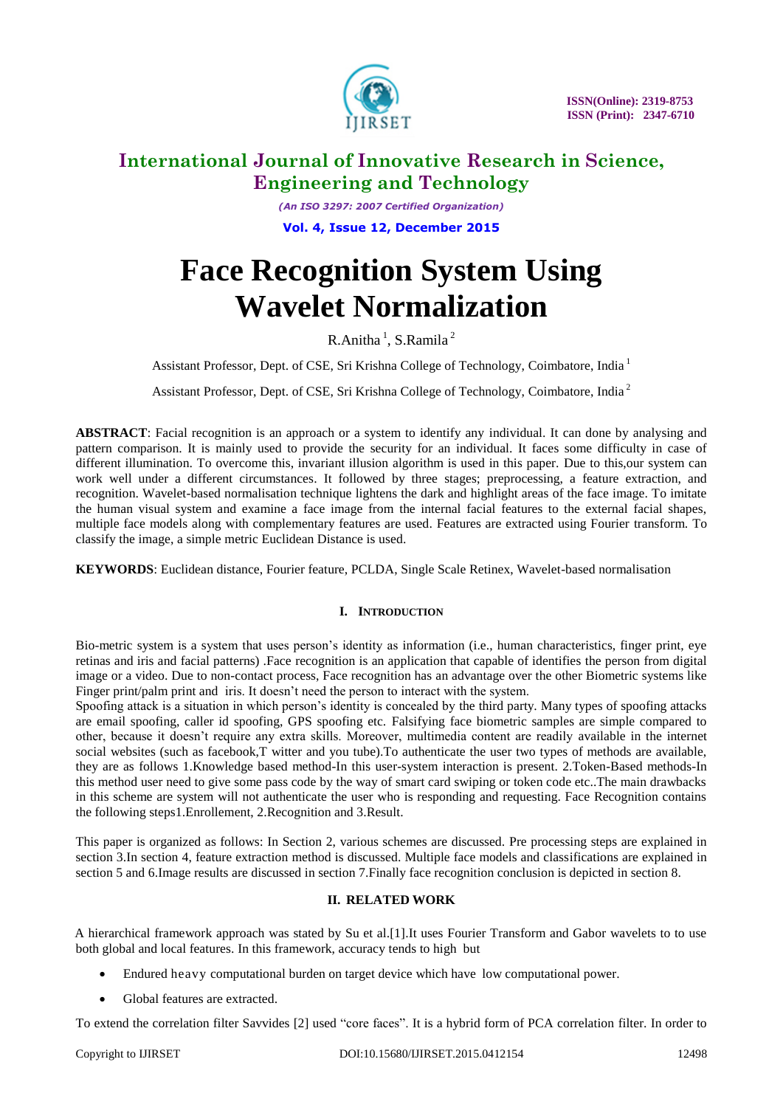

*(An ISO 3297: 2007 Certified Organization)* **Vol. 4, Issue 12, December 2015**

# **Face Recognition System Using Wavelet Normalization**

 $R$ .Anitha<sup>1</sup>, S.Ramila<sup>2</sup>

Assistant Professor, Dept. of CSE, Sri Krishna College of Technology, Coimbatore, India <sup>1</sup>

Assistant Professor, Dept. of CSE, Sri Krishna College of Technology, Coimbatore, India <sup>2</sup>

**ABSTRACT**: Facial recognition is an approach or a system to identify any individual. It can done by analysing and pattern comparison. It is mainly used to provide the security for an individual. It faces some difficulty in case of different illumination. To overcome this, invariant illusion algorithm is used in this paper. Due to this,our system can work well under a different circumstances. It followed by three stages; preprocessing, a feature extraction, and recognition. Wavelet-based normalisation technique lightens the dark and highlight areas of the face image. To imitate the human visual system and examine a face image from the internal facial features to the external facial shapes, multiple face models along with complementary features are used. Features are extracted using Fourier transform. To classify the image, a simple metric Euclidean Distance is used.

**KEYWORDS**: Euclidean distance, Fourier feature, PCLDA, Single Scale Retinex, Wavelet-based normalisation

### **I. INTRODUCTION**

Bio-metric system is a system that uses person's identity as information (i.e., human characteristics, finger print, eye retinas and iris and facial patterns) .Face recognition is an application that capable of identifies the person from digital image or a video. Due to non-contact process, Face recognition has an advantage over the other Biometric systems like Finger print/palm print and iris. It doesn't need the person to interact with the system.

Spoofing attack is a situation in which person's identity is concealed by the third party. Many types of spoofing attacks are email spoofing, caller id spoofing, GPS spoofing etc. Falsifying face biometric samples are simple compared to other, because it doesn't require any extra skills. Moreover, multimedia content are readily available in the internet social websites (such as facebook,T witter and you tube).To authenticate the user two types of methods are available, they are as follows 1.Knowledge based method-In this user-system interaction is present. 2.Token-Based methods-In this method user need to give some pass code by the way of smart card swiping or token code etc..The main drawbacks in this scheme are system will not authenticate the user who is responding and requesting. Face Recognition contains the following steps1.Enrollement, 2.Recognition and 3.Result.

This paper is organized as follows: In Section 2, various schemes are discussed. Pre processing steps are explained in section 3.In section 4, feature extraction method is discussed. Multiple face models and classifications are explained in section 5 and 6.Image results are discussed in section 7.Finally face recognition conclusion is depicted in section 8.

### **II. RELATED WORK**

A hierarchical framework approach was stated by Su et al.[1].It uses Fourier Transform and Gabor wavelets to to use both global and local features. In this framework, accuracy tends to high but

- Endured heavy computational burden on target device which have low computational power.
- Global features are extracted.

To extend the correlation filter Savvides [2] used "core faces". It is a hybrid form of PCA correlation filter. In order to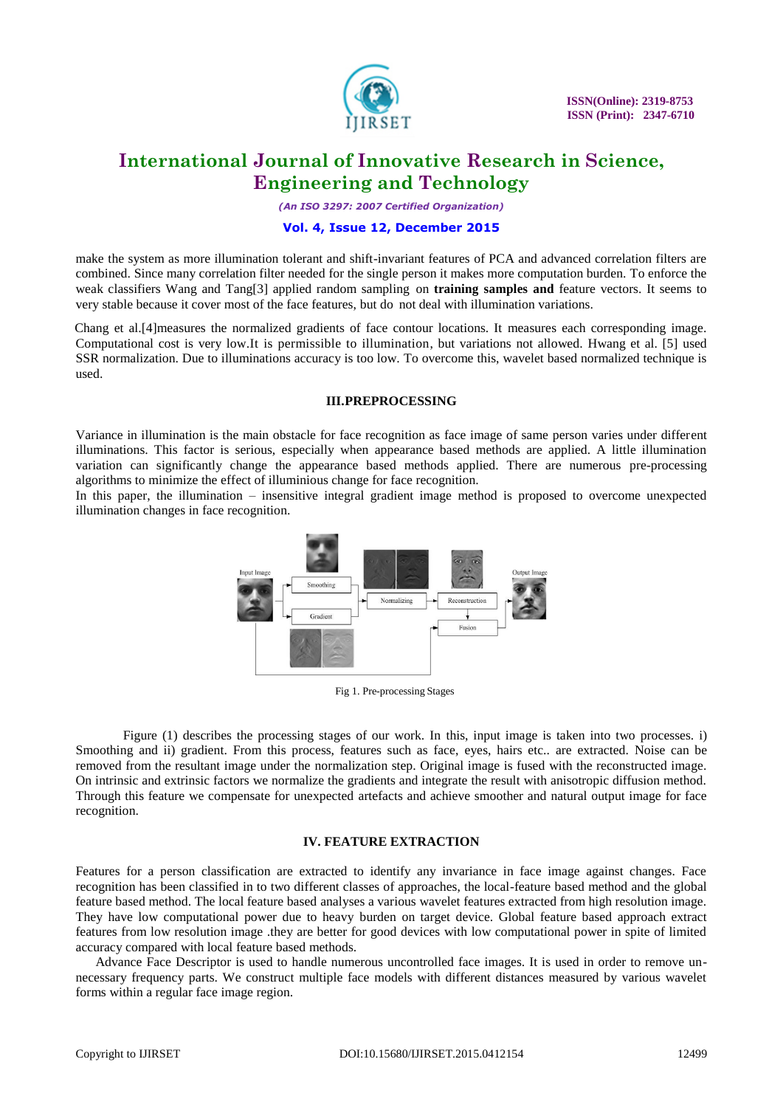

*(An ISO 3297: 2007 Certified Organization)*

#### **Vol. 4, Issue 12, December 2015**

make the system as more illumination tolerant and shift-invariant features of PCA and advanced correlation filters are combined. Since many correlation filter needed for the single person it makes more computation burden. To enforce the weak classifiers Wang and Tang[3] applied random sampling on **training samples and** feature vectors. It seems to very stable because it cover most of the face features, but do not deal with illumination variations.

Chang et al.[4]measures the normalized gradients of face contour locations. It measures each corresponding image. Computational cost is very low.It is permissible to illumination, but variations not allowed. Hwang et al. [5] used SSR normalization. Due to illuminations accuracy is too low. To overcome this, wavelet based normalized technique is used.

#### **III.PREPROCESSING**

Variance in illumination is the main obstacle for face recognition as face image of same person varies under different illuminations. This factor is serious, especially when appearance based methods are applied. A little illumination variation can significantly change the appearance based methods applied. There are numerous pre-processing algorithms to minimize the effect of illuminious change for face recognition.

In this paper, the illumination – insensitive integral gradient image method is proposed to overcome unexpected illumination changes in face recognition.



Fig 1. Pre-processing Stages

Figure (1) describes the processing stages of our work. In this, input image is taken into two processes. i) Smoothing and ii) gradient. From this process, features such as face, eyes, hairs etc.. are extracted. Noise can be removed from the resultant image under the normalization step. Original image is fused with the reconstructed image. On intrinsic and extrinsic factors we normalize the gradients and integrate the result with anisotropic diffusion method. Through this feature we compensate for unexpected artefacts and achieve smoother and natural output image for face recognition.

#### **IV. FEATURE EXTRACTION**

Features for a person classification are extracted to identify any invariance in face image against changes. Face recognition has been classified in to two different classes of approaches, the local-feature based method and the global feature based method. The local feature based analyses a various wavelet features extracted from high resolution image. They have low computational power due to heavy burden on target device. Global feature based approach extract features from low resolution image .they are better for good devices with low computational power in spite of limited accuracy compared with local feature based methods.

 Advance Face Descriptor is used to handle numerous uncontrolled face images. It is used in order to remove unnecessary frequency parts. We construct multiple face models with different distances measured by various wavelet forms within a regular face image region.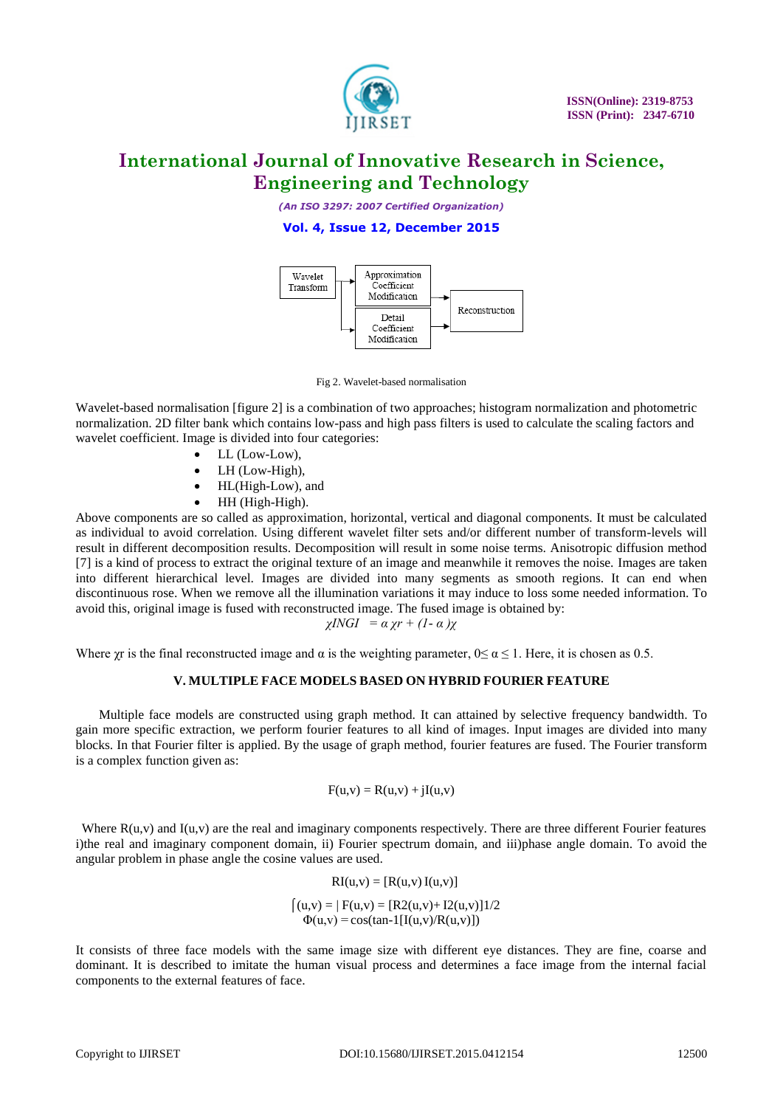

*(An ISO 3297: 2007 Certified Organization)*

### **Vol. 4, Issue 12, December 2015**



Fig 2. Wavelet-based normalisation

Wavelet-based normalisation [figure 2] is a combination of two approaches; histogram normalization and photometric normalization. 2D filter bank which contains low-pass and high pass filters is used to calculate the scaling factors and wavelet coefficient. Image is divided into four categories:

- LL (Low-Low),
	- LH (Low-High),
	- HL(High-Low), and
	- $\bullet$  HH (High-High).

Above components are so called as approximation, horizontal, vertical and diagonal components. It must be calculated as individual to avoid correlation. Using different wavelet filter sets and/or different number of transform-levels will result in different decomposition results. Decomposition will result in some noise terms. Anisotropic diffusion method [7] is a kind of process to extract the original texture of an image and meanwhile it removes the noise. Images are taken into different hierarchical level. Images are divided into many segments as smooth regions. It can end when discontinuous rose. When we remove all the illumination variations it may induce to loss some needed information. To avoid this, original image is fused with reconstructed image. The fused image is obtained by:

$$
\chi INGI = \alpha \chi r + (1 - \alpha) \chi
$$

Where  $\chi$ r is the final reconstructed image and  $\alpha$  is the weighting parameter,  $0 \le \alpha \le 1$ . Here, it is chosen as 0.5.

### **V. MULTIPLE FACE MODELS BASED ON HYBRID FOURIER FEATURE**

 Multiple face models are constructed using graph method. It can attained by selective frequency bandwidth. To gain more specific extraction, we perform fourier features to all kind of images. Input images are divided into many blocks. In that Fourier filter is applied. By the usage of graph method, fourier features are fused. The Fourier transform is a complex function given as:

$$
F(u,v) = R(u,v) + jI(u,v)
$$

Where  $R(u, v)$  and  $I(u, v)$  are the real and imaginary components respectively. There are three different Fourier features i)the real and imaginary component domain, ii) Fourier spectrum domain, and iii)phase angle domain. To avoid the angular problem in phase angle the cosine values are used.

$$
RI(u,v) = [R(u,v) I(u,v)]
$$
  
\n
$$
\begin{cases}\n(u,v) = | F(u,v) = [R2(u,v) + I2(u,v)]1/2 \\
\Phi(u,v) = \cos(\tan^{-1}[I(u,v)/R(u,v)])\n\end{cases}
$$

It consists of three face models with the same image size with different eye distances. They are fine, coarse and dominant. It is described to imitate the human visual process and determines a face image from the internal facial components to the external features of face.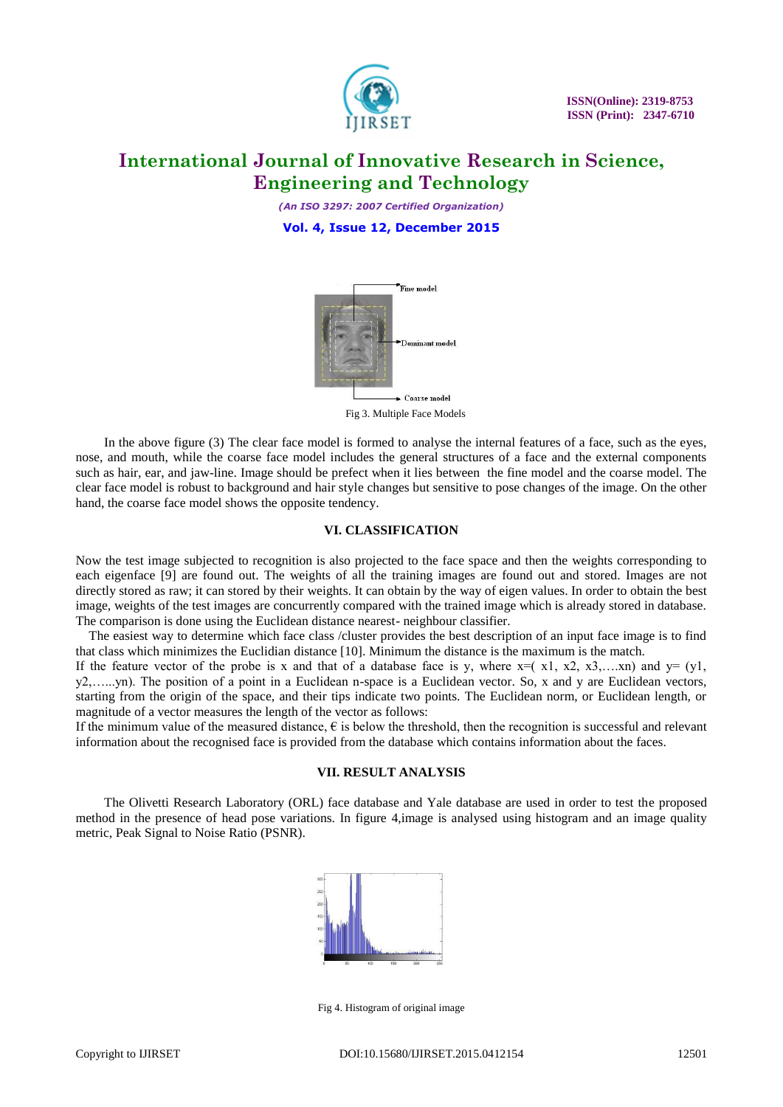

*(An ISO 3297: 2007 Certified Organization)* **Vol. 4, Issue 12, December 2015**



Fig 3. Multiple Face Models

In the above figure (3) The clear face model is formed to analyse the internal features of a face, such as the eyes, nose, and mouth, while the coarse face model includes the general structures of a face and the external components such as hair, ear, and jaw-line. Image should be prefect when it lies between the fine model and the coarse model. The clear face model is robust to background and hair style changes but sensitive to pose changes of the image. On the other hand, the coarse face model shows the opposite tendency.

#### **VI. CLASSIFICATION**

Now the test image subjected to recognition is also projected to the face space and then the weights corresponding to each eigenface [9] are found out. The weights of all the training images are found out and stored. Images are not directly stored as raw; it can stored by their weights. It can obtain by the way of eigen values. In order to obtain the best image, weights of the test images are concurrently compared with the trained image which is already stored in database. The comparison is done using the Euclidean distance nearest- neighbour classifier.

 The easiest way to determine which face class /cluster provides the best description of an input face image is to find that class which minimizes the Euclidian distance [10]. Minimum the distance is the maximum is the match.

If the feature vector of the probe is x and that of a database face is y, where  $x=(x1, x2, x3,...xn)$  and  $y=(y1, y2, x3,...xn)$ y2,…...yn). The position of a point in a Euclidean n-space is a Euclidean vector. So, x and y are Euclidean vectors, starting from the origin of the space, and their tips indicate two points. The Euclidean norm, or Euclidean length, or magnitude of a vector measures the length of the vector as follows:

If the minimum value of the measured distance,  $\epsilon$  is below the threshold, then the recognition is successful and relevant information about the recognised face is provided from the database which contains information about the faces.

### **VII. RESULT ANALYSIS**

The Olivetti Research Laboratory (ORL) face database and Yale database are used in order to test the proposed method in the presence of head pose variations. In figure 4,image is analysed using histogram and an image quality metric, Peak Signal to Noise Ratio (PSNR).



Fig 4. Histogram of original image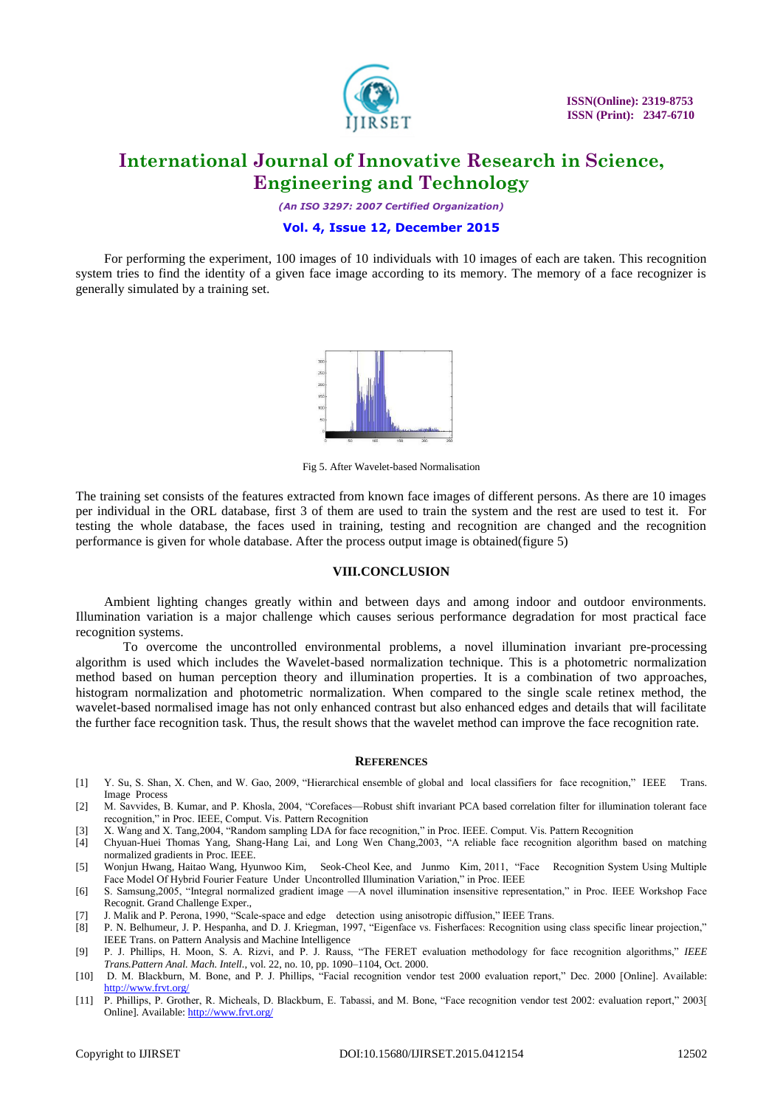

*(An ISO 3297: 2007 Certified Organization)*

#### **Vol. 4, Issue 12, December 2015**

For performing the experiment, 100 images of 10 individuals with 10 images of each are taken. This recognition system tries to find the identity of a given face image according to its memory. The memory of a face recognizer is generally simulated by a training set.



Fig 5. After Wavelet-based Normalisation

The training set consists of the features extracted from known face images of different persons. As there are 10 images per individual in the ORL database, first 3 of them are used to train the system and the rest are used to test it. For testing the whole database, the faces used in training, testing and recognition are changed and the recognition performance is given for whole database. After the process output image is obtained(figure 5)

#### **VIII.CONCLUSION**

Ambient lighting changes greatly within and between days and among indoor and outdoor environments. Illumination variation is a major challenge which causes serious performance degradation for most practical face recognition systems.

To overcome the uncontrolled environmental problems, a novel illumination invariant pre-processing algorithm is used which includes the Wavelet-based normalization technique. This is a photometric normalization method based on human perception theory and illumination properties. It is a combination of two approaches, histogram normalization and photometric normalization. When compared to the single scale retinex method, the wavelet-based normalised image has not only enhanced contrast but also enhanced edges and details that will facilitate the further face recognition task. Thus, the result shows that the wavelet method can improve the face recognition rate.

#### **REFERENCES**

- [1] Y. Su, S. Shan, X. Chen, and W. Gao, 2009, "Hierarchical ensemble of global and local classifiers for face recognition," IEEE Trans. Image Process
- [2] M. Savvides, B. Kumar, and P. Khosla, 2004, "Corefaces—Robust shift invariant PCA based correlation filter for illumination tolerant face recognition," in Proc. IEEE, Comput. Vis. Pattern Recognition
- [3] X. Wang and X. Tang, 2004, "Random sampling LDA for face recognition," in Proc. IEEE. Comput. Vis. Pattern Recognition
- [4] Chyuan-Huei Thomas Yang, Shang-Hang Lai, and Long Wen Chang,2003, "A reliable face recognition algorithm based on matching normalized gradients in Proc. IEEE.
- [5] Wonjun Hwang, Haitao Wang, Hyunwoo Kim, Seok-Cheol Kee, and Junmo Kim, 2011, "Face Recognition System Using Multiple Face Model Of Hybrid Fourier Feature Under Uncontrolled Illumination Variation," in Proc. IEEE
- [6] S. Samsung,2005, "Integral normalized gradient image —A novel illumination insensitive representation," in Proc. IEEE Workshop Face Recognit. Grand Challenge Exper.,
- [7] J. Malik and P. Perona, 1990, "Scale-space and edge detection using anisotropic diffusion," IEEE Trans.
- [8] P. N. Belhumeur, J. P. Hespanha, and D. J. Kriegman, 1997, "Eigenface vs. Fisherfaces: Recognition using class specific linear projection," IEEE Trans. on Pattern Analysis and Machine Intelligence
- [9] P. J. Phillips, H. Moon, S. A. Rizvi, and P. J. Rauss, "The FERET evaluation methodology for face recognition algorithms," IEEE *Trans.Pattern Anal. Mach. Intell.*, vol. 22, no. 10, pp. 1090–1104, Oct. 2000.
- [10] D. M. Blackburn, M. Bone, and P. J. Phillips, "Facial recognition vendor test 2000 evaluation report," Dec. 2000 [Online]. Available: <http://www.frvt.org/>
- [11] P. Phillips, P. Grother, R. Micheals, D. Blackburn, E. Tabassi, and M. Bone, "Face recognition vendor test 2002: evaluation report," 2003[ Online]. Available:<http://www.frvt.org/>